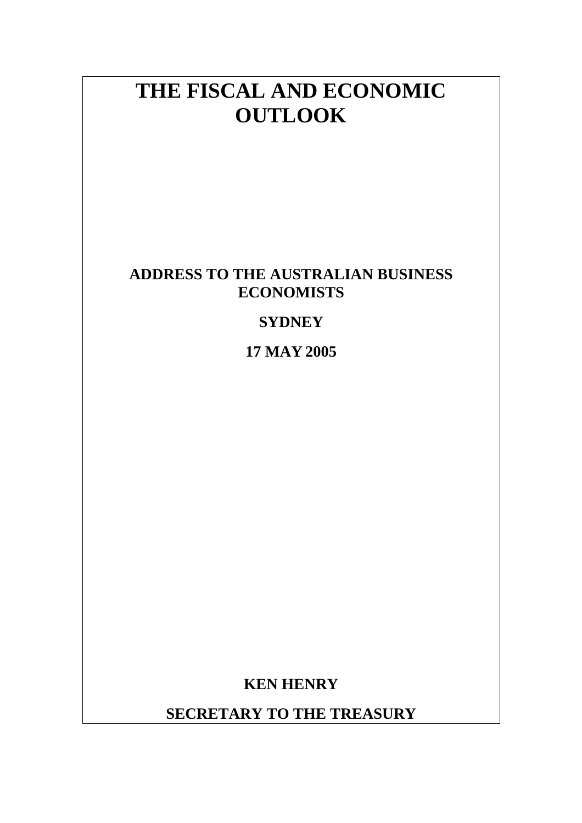# **THE FISCAL AND ECONOMIC OUTLOOK**

## **ADDRESS TO THE AUSTRALIAN BUSINESS ECONOMISTS**

## **SYDNEY**

**17 MAY 2005**

**KEN HENRY** 

**SECRETARY TO THE TREASURY**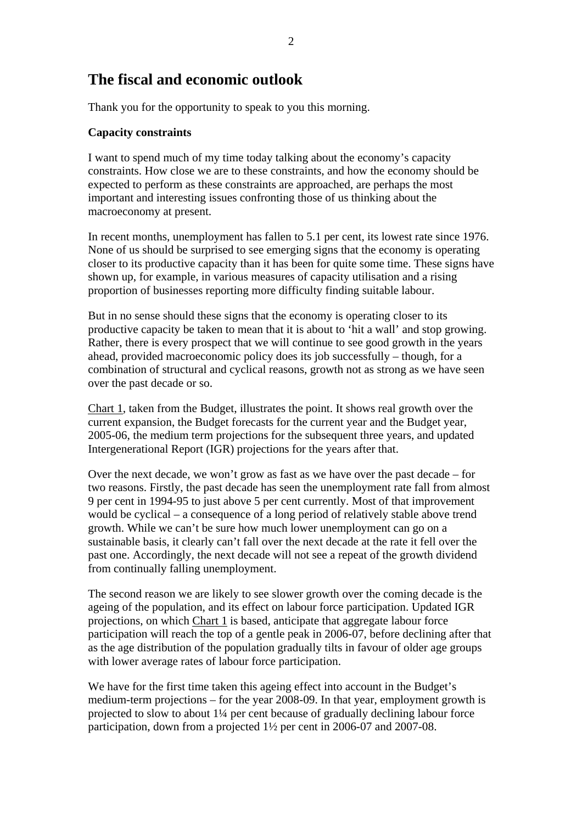## **The fiscal and economic outlook**

Thank you for the opportunity to speak to you this morning.

### **Capacity constraints**

I want to spend much of my time today talking about the economy's capacity constraints. How close we are to these constraints, and how the economy should be expected to perform as these constraints are approached, are perhaps the most important and interesting issues confronting those of us thinking about the macroeconomy at present.

In recent months, unemployment has fallen to 5.1 per cent, its lowest rate since 1976. None of us should be surprised to see emerging signs that the economy is operating closer to its productive capacity than it has been for quite some time. These signs have shown up, for example, in various measures of capacity utilisation and a rising proportion of businesses reporting more difficulty finding suitable labour.

But in no sense should these signs that the economy is operating closer to its productive capacity be taken to mean that it is about to 'hit a wall' and stop growing. Rather, there is every prospect that we will continue to see good growth in the years ahead, provided macroeconomic policy does its job successfully – though, for a combination of structural and cyclical reasons, growth not as strong as we have seen over the past decade or so.

Chart 1, taken from the Budget, illustrates the point. It shows real growth over the current expansion, the Budget forecasts for the current year and the Budget year, 2005-06, the medium term projections for the subsequent three years, and updated Intergenerational Report (IGR) projections for the years after that.

Over the next decade, we won't grow as fast as we have over the past decade – for two reasons. Firstly, the past decade has seen the unemployment rate fall from almost 9 per cent in 1994-95 to just above 5 per cent currently. Most of that improvement would be cyclical – a consequence of a long period of relatively stable above trend growth. While we can't be sure how much lower unemployment can go on a sustainable basis, it clearly can't fall over the next decade at the rate it fell over the past one. Accordingly, the next decade will not see a repeat of the growth dividend from continually falling unemployment.

The second reason we are likely to see slower growth over the coming decade is the ageing of the population, and its effect on labour force participation. Updated IGR projections, on which Chart 1 is based, anticipate that aggregate labour force participation will reach the top of a gentle peak in 2006-07, before declining after that as the age distribution of the population gradually tilts in favour of older age groups with lower average rates of labour force participation.

We have for the first time taken this ageing effect into account in the Budget's medium-term projections – for the year 2008-09. In that year, employment growth is projected to slow to about 1¼ per cent because of gradually declining labour force participation, down from a projected 1½ per cent in 2006-07 and 2007-08.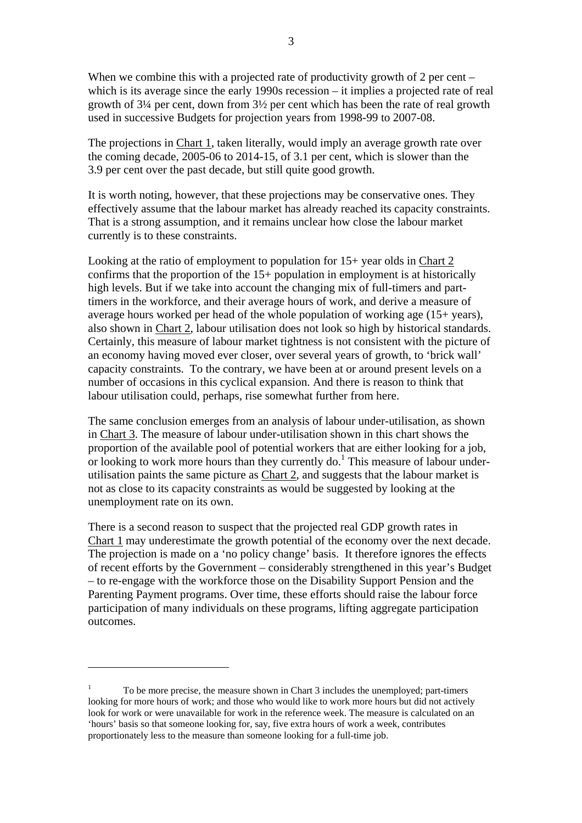When we combine this with a projected rate of productivity growth of 2 per cent – which is its average since the early 1990s recession – it implies a projected rate of real growth of 3¼ per cent, down from 3½ per cent which has been the rate of real growth used in successive Budgets for projection years from 1998-99 to 2007-08.

The projections in Chart 1, taken literally, would imply an average growth rate over the coming decade, 2005-06 to 2014-15, of 3.1 per cent, which is slower than the 3.9 per cent over the past decade, but still quite good growth.

It is worth noting, however, that these projections may be conservative ones. They effectively assume that the labour market has already reached its capacity constraints. That is a strong assumption, and it remains unclear how close the labour market currently is to these constraints.

Looking at the ratio of employment to population for 15+ year olds in Chart 2 confirms that the proportion of the 15+ population in employment is at historically high levels. But if we take into account the changing mix of full-timers and parttimers in the workforce, and their average hours of work, and derive a measure of average hours worked per head of the whole population of working age (15+ years), also shown in Chart 2, labour utilisation does not look so high by historical standards. Certainly, this measure of labour market tightness is not consistent with the picture of an economy having moved ever closer, over several years of growth, to 'brick wall' capacity constraints. To the contrary, we have been at or around present levels on a number of occasions in this cyclical expansion. And there is reason to think that labour utilisation could, perhaps, rise somewhat further from here.

The same conclusion emerges from an analysis of labour under-utilisation, as shown in Chart 3. The measure of labour under-utilisation shown in this chart shows the proportion of the available pool of potential workers that are either looking for a job, or looking to work more hours than they currently do.<sup>[1](#page-2-0)</sup> This measure of labour underutilisation paints the same picture as Chart 2, and suggests that the labour market is not as close to its capacity constraints as would be suggested by looking at the unemployment rate on its own.

There is a second reason to suspect that the projected real GDP growth rates in Chart 1 may underestimate the growth potential of the economy over the next decade. The projection is made on a 'no policy change' basis. It therefore ignores the effects of recent efforts by the Government – considerably strengthened in this year's Budget – to re-engage with the workforce those on the Disability Support Pension and the Parenting Payment programs. Over time, these efforts should raise the labour force participation of many individuals on these programs, lifting aggregate participation outcomes.

 $\overline{a}$ 

<span id="page-2-0"></span><sup>1</sup> To be more precise, the measure shown in Chart 3 includes the unemployed; part-timers looking for more hours of work; and those who would like to work more hours but did not actively look for work or were unavailable for work in the reference week. The measure is calculated on an 'hours' basis so that someone looking for, say, five extra hours of work a week, contributes proportionately less to the measure than someone looking for a full-time job.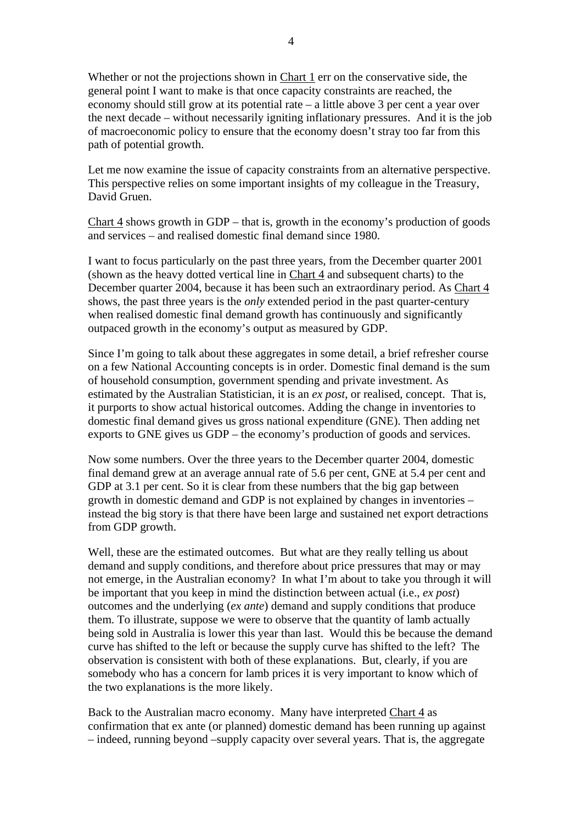Whether or not the projections shown in Chart 1 err on the conservative side, the general point I want to make is that once capacity constraints are reached, the economy should still grow at its potential rate – a little above 3 per cent a year over the next decade – without necessarily igniting inflationary pressures. And it is the job of macroeconomic policy to ensure that the economy doesn't stray too far from this path of potential growth.

Let me now examine the issue of capacity constraints from an alternative perspective. This perspective relies on some important insights of my colleague in the Treasury, David Gruen.

Chart  $\frac{4}{1}$  shows growth in GDP – that is, growth in the economy's production of goods and services – and realised domestic final demand since 1980.

I want to focus particularly on the past three years, from the December quarter 2001 (shown as the heavy dotted vertical line in Chart 4 and subsequent charts) to the December quarter 2004, because it has been such an extraordinary period. As Chart 4 shows, the past three years is the *only* extended period in the past quarter-century when realised domestic final demand growth has continuously and significantly outpaced growth in the economy's output as measured by GDP.

Since I'm going to talk about these aggregates in some detail, a brief refresher course on a few National Accounting concepts is in order. Domestic final demand is the sum of household consumption, government spending and private investment. As estimated by the Australian Statistician, it is an *ex post*, or realised, concept. That is, it purports to show actual historical outcomes. Adding the change in inventories to domestic final demand gives us gross national expenditure (GNE). Then adding net exports to GNE gives us GDP – the economy's production of goods and services.

Now some numbers. Over the three years to the December quarter 2004, domestic final demand grew at an average annual rate of 5.6 per cent, GNE at 5.4 per cent and GDP at 3.1 per cent. So it is clear from these numbers that the big gap between growth in domestic demand and GDP is not explained by changes in inventories – instead the big story is that there have been large and sustained net export detractions from GDP growth.

Well, these are the estimated outcomes. But what are they really telling us about demand and supply conditions, and therefore about price pressures that may or may not emerge, in the Australian economy? In what I'm about to take you through it will be important that you keep in mind the distinction between actual (i.e., *ex post*) outcomes and the underlying (*ex ante*) demand and supply conditions that produce them. To illustrate, suppose we were to observe that the quantity of lamb actually being sold in Australia is lower this year than last. Would this be because the demand curve has shifted to the left or because the supply curve has shifted to the left? The observation is consistent with both of these explanations. But, clearly, if you are somebody who has a concern for lamb prices it is very important to know which of the two explanations is the more likely.

Back to the Australian macro economy. Many have interpreted Chart 4 as confirmation that ex ante (or planned) domestic demand has been running up against – indeed, running beyond –supply capacity over several years. That is, the aggregate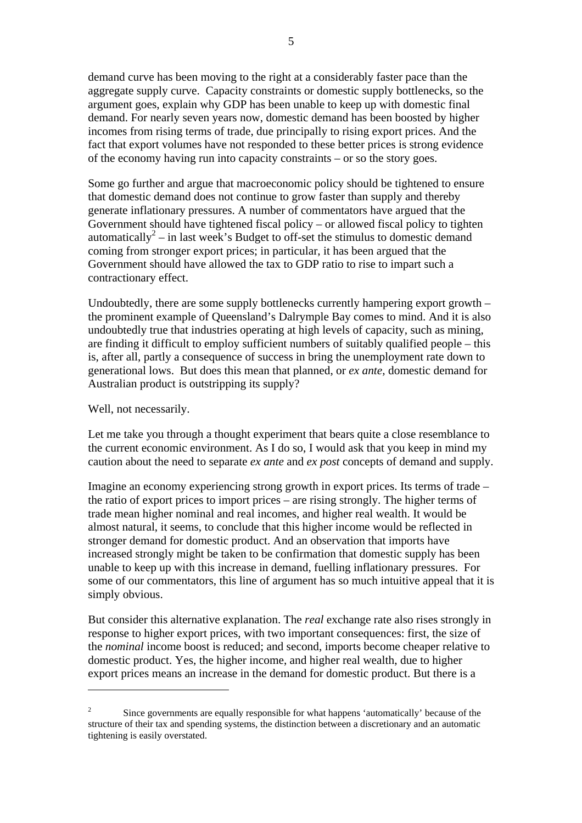demand curve has been moving to the right at a considerably faster pace than the aggregate supply curve. Capacity constraints or domestic supply bottlenecks, so the argument goes, explain why GDP has been unable to keep up with domestic final demand. For nearly seven years now, domestic demand has been boosted by higher incomes from rising terms of trade, due principally to rising export prices. And the fact that export volumes have not responded to these better prices is strong evidence of the economy having run into capacity constraints – or so the story goes.

Some go further and argue that macroeconomic policy should be tightened to ensure that domestic demand does not continue to grow faster than supply and thereby generate inflationary pressures. A number of commentators have argued that the Government should have tightened fiscal policy – or allowed fiscal policy to tighten automatically<sup>[2](#page-4-0)</sup> – in last week's Budget to off-set the stimulus to domestic demand coming from stronger export prices; in particular, it has been argued that the Government should have allowed the tax to GDP ratio to rise to impart such a contractionary effect.

Undoubtedly, there are some supply bottlenecks currently hampering export growth – the prominent example of Queensland's Dalrymple Bay comes to mind. And it is also undoubtedly true that industries operating at high levels of capacity, such as mining, are finding it difficult to employ sufficient numbers of suitably qualified people – this is, after all, partly a consequence of success in bring the unemployment rate down to generational lows. But does this mean that planned, or *ex ante*, domestic demand for Australian product is outstripping its supply?

Well, not necessarily.

 $\overline{a}$ 

Let me take you through a thought experiment that bears quite a close resemblance to the current economic environment. As I do so, I would ask that you keep in mind my caution about the need to separate *ex ante* and *ex post* concepts of demand and supply.

Imagine an economy experiencing strong growth in export prices. Its terms of trade – the ratio of export prices to import prices – are rising strongly. The higher terms of trade mean higher nominal and real incomes, and higher real wealth. It would be almost natural, it seems, to conclude that this higher income would be reflected in stronger demand for domestic product. And an observation that imports have increased strongly might be taken to be confirmation that domestic supply has been unable to keep up with this increase in demand, fuelling inflationary pressures. For some of our commentators, this line of argument has so much intuitive appeal that it is simply obvious.

But consider this alternative explanation. The *real* exchange rate also rises strongly in response to higher export prices, with two important consequences: first, the size of the *nominal* income boost is reduced; and second, imports become cheaper relative to domestic product. Yes, the higher income, and higher real wealth, due to higher export prices means an increase in the demand for domestic product. But there is a

<span id="page-4-0"></span><sup>2</sup> Since governments are equally responsible for what happens 'automatically' because of the structure of their tax and spending systems, the distinction between a discretionary and an automatic tightening is easily overstated.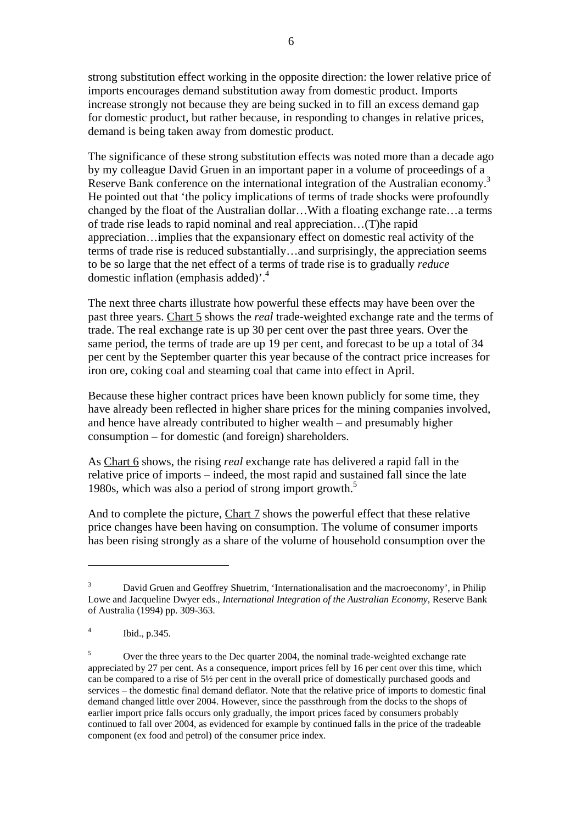strong substitution effect working in the opposite direction: the lower relative price of imports encourages demand substitution away from domestic product. Imports increase strongly not because they are being sucked in to fill an excess demand gap for domestic product, but rather because, in responding to changes in relative prices, demand is being taken away from domestic product.

The significance of these strong substitution effects was noted more than a decade ago by my colleague David Gruen in an important paper in a volume of proceedings of a Reserve Bank conference on the international integration of the Australian economy.<sup>[3](#page-5-0)</sup> He pointed out that 'the policy implications of terms of trade shocks were profoundly changed by the float of the Australian dollar…With a floating exchange rate…a terms of trade rise leads to rapid nominal and real appreciation…(T)he rapid appreciation…implies that the expansionary effect on domestic real activity of the terms of trade rise is reduced substantially…and surprisingly, the appreciation seems to be so large that the net effect of a terms of trade rise is to gradually *reduce* domestic inflation (emphasis added)'.[4](#page-5-1)

The next three charts illustrate how powerful these effects may have been over the past three years. Chart 5 shows the *real* trade-weighted exchange rate and the terms of trade. The real exchange rate is up 30 per cent over the past three years. Over the same period, the terms of trade are up 19 per cent, and forecast to be up a total of 34 per cent by the September quarter this year because of the contract price increases for iron ore, coking coal and steaming coal that came into effect in April.

Because these higher contract prices have been known publicly for some time, they have already been reflected in higher share prices for the mining companies involved, and hence have already contributed to higher wealth – and presumably higher consumption – for domestic (and foreign) shareholders.

As Chart 6 shows, the rising *real* exchange rate has delivered a rapid fall in the relative price of imports – indeed, the most rapid and sustained fall since the late 1980s, which was also a period of strong import growth.<sup>5</sup>

And to complete the picture, Chart 7 shows the powerful effect that these relative price changes have been having on consumption. The volume of consumer imports has been rising strongly as a share of the volume of household consumption over the

 $\overline{a}$ 

<span id="page-5-0"></span><sup>3</sup> David Gruen and Geoffrey Shuetrim, 'Internationalisation and the macroeconomy', in Philip Lowe and Jacqueline Dwyer eds., *International Integration of the Australian Economy*, Reserve Bank of Australia (1994) pp. 309-363.

<span id="page-5-1"></span><sup>4</sup> Ibid., p.345.

<span id="page-5-2"></span><sup>5</sup> Over the three years to the Dec quarter 2004, the nominal trade-weighted exchange rate appreciated by 27 per cent. As a consequence, import prices fell by 16 per cent over this time, which can be compared to a rise of 5<sup>1</sup>/<sub>2</sub> per cent in the overall price of domestically purchased goods and services – the domestic final demand deflator. Note that the relative price of imports to domestic final demand changed little over 2004. However, since the passthrough from the docks to the shops of earlier import price falls occurs only gradually, the import prices faced by consumers probably continued to fall over 2004, as evidenced for example by continued falls in the price of the tradeable component (ex food and petrol) of the consumer price index.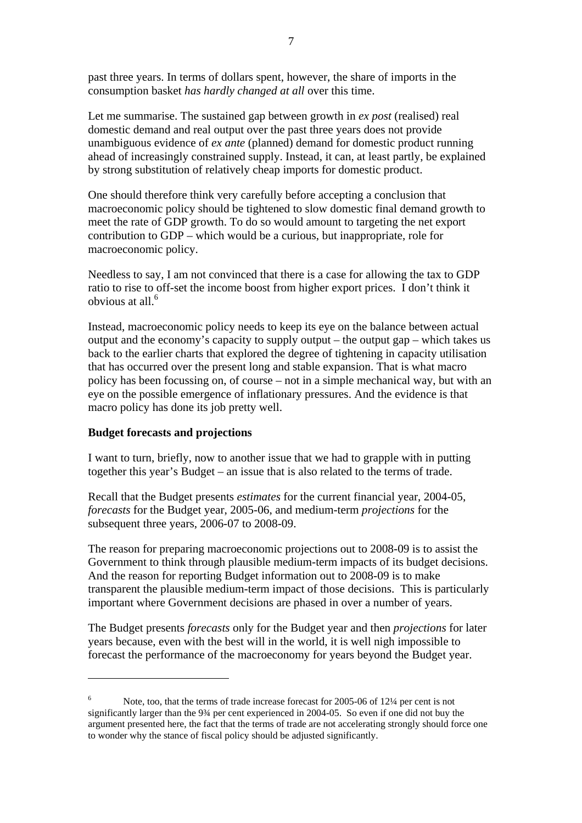past three years. In terms of dollars spent, however, the share of imports in the consumption basket *has hardly changed at all* over this time.

Let me summarise. The sustained gap between growth in *ex post* (realised) real domestic demand and real output over the past three years does not provide unambiguous evidence of *ex ante* (planned) demand for domestic product running ahead of increasingly constrained supply. Instead, it can, at least partly, be explained by strong substitution of relatively cheap imports for domestic product.

One should therefore think very carefully before accepting a conclusion that macroeconomic policy should be tightened to slow domestic final demand growth to meet the rate of GDP growth. To do so would amount to targeting the net export contribution to GDP – which would be a curious, but inappropriate, role for macroeconomic policy.

Needless to say, I am not convinced that there is a case for allowing the tax to GDP ratio to rise to off-set the income boost from higher export prices. I don't think it obvious at all.[6](#page-6-0)

Instead, macroeconomic policy needs to keep its eye on the balance between actual output and the economy's capacity to supply output – the output gap – which takes us back to the earlier charts that explored the degree of tightening in capacity utilisation that has occurred over the present long and stable expansion. That is what macro policy has been focussing on, of course – not in a simple mechanical way, but with an eye on the possible emergence of inflationary pressures. And the evidence is that macro policy has done its job pretty well.

#### **Budget forecasts and projections**

 $\overline{a}$ 

I want to turn, briefly, now to another issue that we had to grapple with in putting together this year's Budget – an issue that is also related to the terms of trade.

Recall that the Budget presents *estimates* for the current financial year, 2004-05, *forecasts* for the Budget year, 2005-06, and medium-term *projections* for the subsequent three years, 2006-07 to 2008-09.

The reason for preparing macroeconomic projections out to 2008-09 is to assist the Government to think through plausible medium-term impacts of its budget decisions. And the reason for reporting Budget information out to 2008-09 is to make transparent the plausible medium-term impact of those decisions. This is particularly important where Government decisions are phased in over a number of years.

The Budget presents *forecasts* only for the Budget year and then *projections* for later years because, even with the best will in the world, it is well nigh impossible to forecast the performance of the macroeconomy for years beyond the Budget year.

<span id="page-6-0"></span><sup>6</sup> Note, too, that the terms of trade increase forecast for 2005-06 of 12¼ per cent is not significantly larger than the 9<sup>3</sup>/4 per cent experienced in 2004-05. So even if one did not buy the argument presented here, the fact that the terms of trade are not accelerating strongly should force one to wonder why the stance of fiscal policy should be adjusted significantly.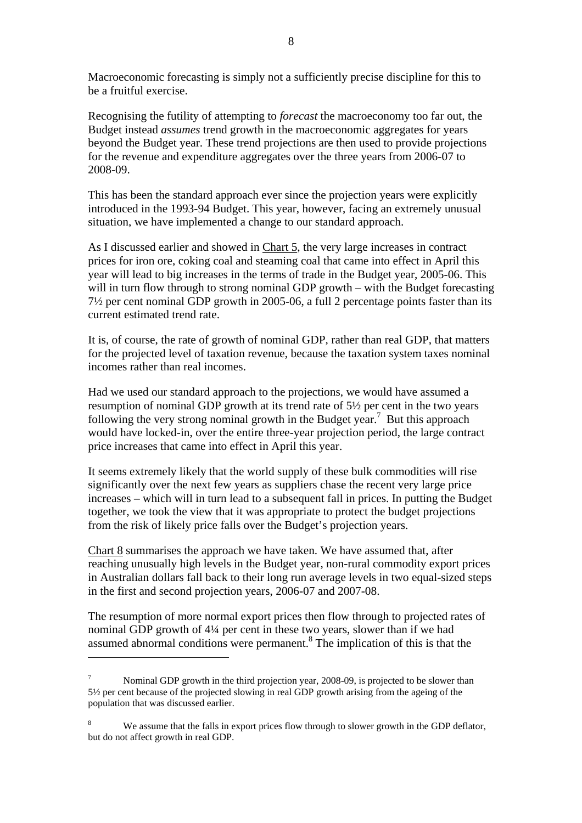Macroeconomic forecasting is simply not a sufficiently precise discipline for this to be a fruitful exercise.

Recognising the futility of attempting to *forecast* the macroeconomy too far out, the Budget instead *assumes* trend growth in the macroeconomic aggregates for years beyond the Budget year. These trend projections are then used to provide projections for the revenue and expenditure aggregates over the three years from 2006-07 to 2008-09.

This has been the standard approach ever since the projection years were explicitly introduced in the 1993-94 Budget. This year, however, facing an extremely unusual situation, we have implemented a change to our standard approach.

As I discussed earlier and showed in Chart 5, the very large increases in contract prices for iron ore, coking coal and steaming coal that came into effect in April this year will lead to big increases in the terms of trade in the Budget year, 2005-06. This will in turn flow through to strong nominal GDP growth – with the Budget forecasting 7½ per cent nominal GDP growth in 2005-06, a full 2 percentage points faster than its current estimated trend rate.

It is, of course, the rate of growth of nominal GDP, rather than real GDP, that matters for the projected level of taxation revenue, because the taxation system taxes nominal incomes rather than real incomes.

Had we used our standard approach to the projections, we would have assumed a resumption of nominal GDP growth at its trend rate of 5½ per cent in the two years following the very strong nominal growth in the Budget year.<sup>[7](#page-7-0)</sup> But this approach would have locked-in, over the entire three-year projection period, the large contract price increases that came into effect in April this year.

It seems extremely likely that the world supply of these bulk commodities will rise significantly over the next few years as suppliers chase the recent very large price increases – which will in turn lead to a subsequent fall in prices. In putting the Budget together, we took the view that it was appropriate to protect the budget projections from the risk of likely price falls over the Budget's projection years.

Chart 8 summarises the approach we have taken. We have assumed that, after reaching unusually high levels in the Budget year, non-rural commodity export prices in Australian dollars fall back to their long run average levels in two equal-sized steps in the first and second projection years, 2006-07 and 2007-08.

The resumption of more normal export prices then flow through to projected rates of nominal GDP growth of 4¼ per cent in these two years, slower than if we had assumed abnormal conditions were permanent.<sup>[8](#page-7-1)</sup> The implication of this is that the

 $\overline{a}$ 

<span id="page-7-0"></span><sup>7</sup> Nominal GDP growth in the third projection year, 2008-09, is projected to be slower than 5½ per cent because of the projected slowing in real GDP growth arising from the ageing of the population that was discussed earlier.

<span id="page-7-1"></span><sup>8</sup> We assume that the falls in export prices flow through to slower growth in the GDP deflator, but do not affect growth in real GDP.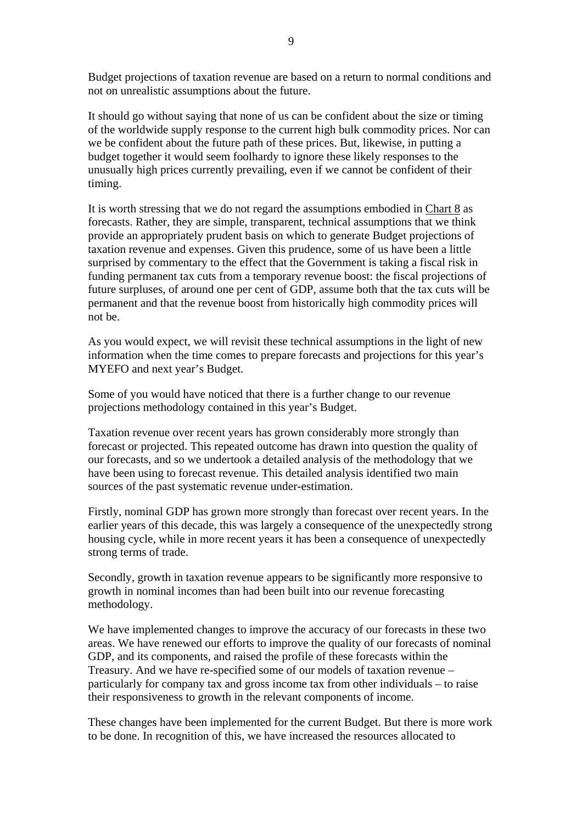Budget projections of taxation revenue are based on a return to normal conditions and not on unrealistic assumptions about the future.

It should go without saying that none of us can be confident about the size or timing of the worldwide supply response to the current high bulk commodity prices. Nor can we be confident about the future path of these prices. But, likewise, in putting a budget together it would seem foolhardy to ignore these likely responses to the unusually high prices currently prevailing, even if we cannot be confident of their timing.

It is worth stressing that we do not regard the assumptions embodied in Chart 8 as forecasts. Rather, they are simple, transparent, technical assumptions that we think provide an appropriately prudent basis on which to generate Budget projections of taxation revenue and expenses. Given this prudence, some of us have been a little surprised by commentary to the effect that the Government is taking a fiscal risk in funding permanent tax cuts from a temporary revenue boost: the fiscal projections of future surpluses, of around one per cent of GDP, assume both that the tax cuts will be permanent and that the revenue boost from historically high commodity prices will not be.

As you would expect, we will revisit these technical assumptions in the light of new information when the time comes to prepare forecasts and projections for this year's MYEFO and next year's Budget.

Some of you would have noticed that there is a further change to our revenue projections methodology contained in this year's Budget.

Taxation revenue over recent years has grown considerably more strongly than forecast or projected. This repeated outcome has drawn into question the quality of our forecasts, and so we undertook a detailed analysis of the methodology that we have been using to forecast revenue. This detailed analysis identified two main sources of the past systematic revenue under-estimation.

Firstly, nominal GDP has grown more strongly than forecast over recent years. In the earlier years of this decade, this was largely a consequence of the unexpectedly strong housing cycle, while in more recent years it has been a consequence of unexpectedly strong terms of trade.

Secondly, growth in taxation revenue appears to be significantly more responsive to growth in nominal incomes than had been built into our revenue forecasting methodology.

We have implemented changes to improve the accuracy of our forecasts in these two areas. We have renewed our efforts to improve the quality of our forecasts of nominal GDP, and its components, and raised the profile of these forecasts within the Treasury. And we have re-specified some of our models of taxation revenue – particularly for company tax and gross income tax from other individuals – to raise their responsiveness to growth in the relevant components of income.

These changes have been implemented for the current Budget. But there is more work to be done. In recognition of this, we have increased the resources allocated to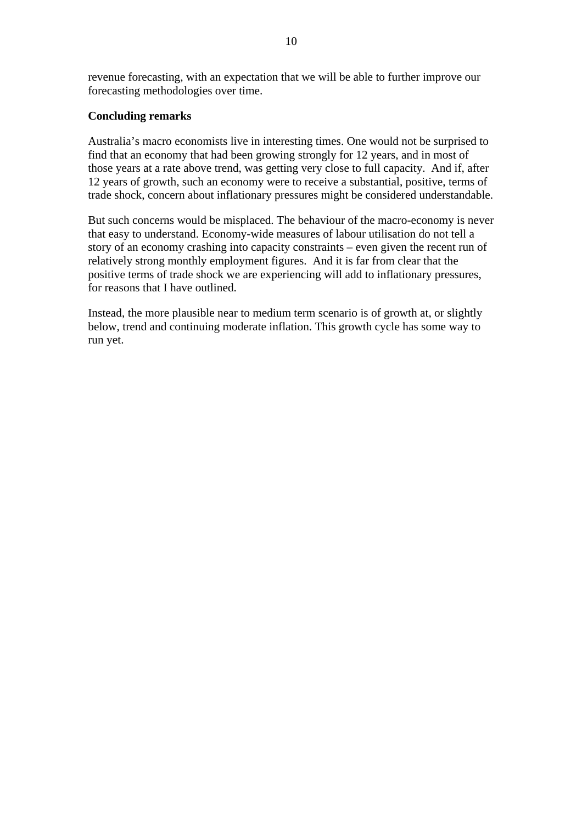revenue forecasting, with an expectation that we will be able to further improve our forecasting methodologies over time.

#### **Concluding remarks**

Australia's macro economists live in interesting times. One would not be surprised to find that an economy that had been growing strongly for 12 years, and in most of those years at a rate above trend, was getting very close to full capacity. And if, after 12 years of growth, such an economy were to receive a substantial, positive, terms of trade shock, concern about inflationary pressures might be considered understandable.

But such concerns would be misplaced. The behaviour of the macro-economy is never that easy to understand. Economy-wide measures of labour utilisation do not tell a story of an economy crashing into capacity constraints – even given the recent run of relatively strong monthly employment figures. And it is far from clear that the positive terms of trade shock we are experiencing will add to inflationary pressures, for reasons that I have outlined.

Instead, the more plausible near to medium term scenario is of growth at, or slightly below, trend and continuing moderate inflation. This growth cycle has some way to run yet.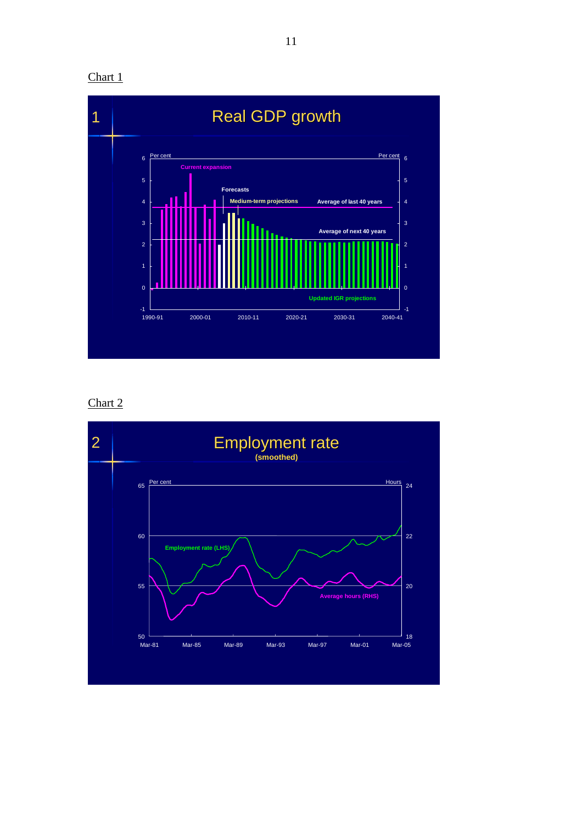Chart 1



Chart 2

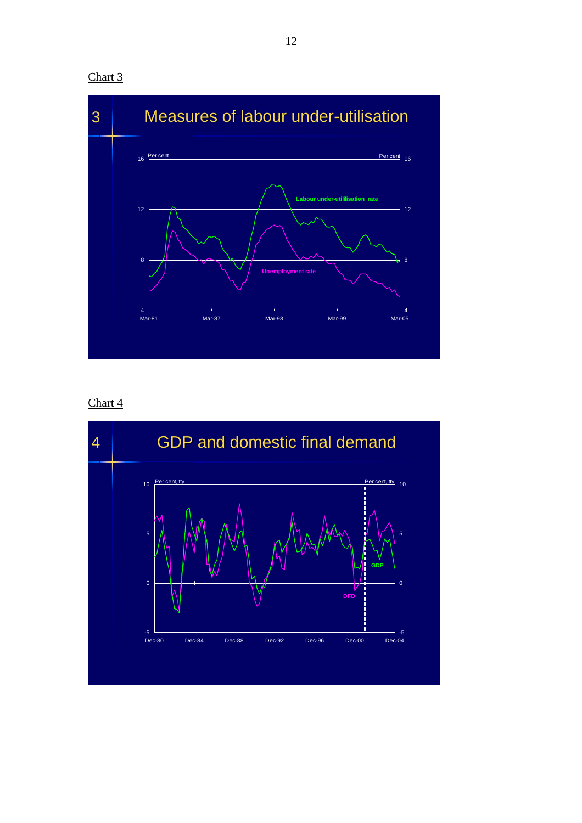



Chart 4

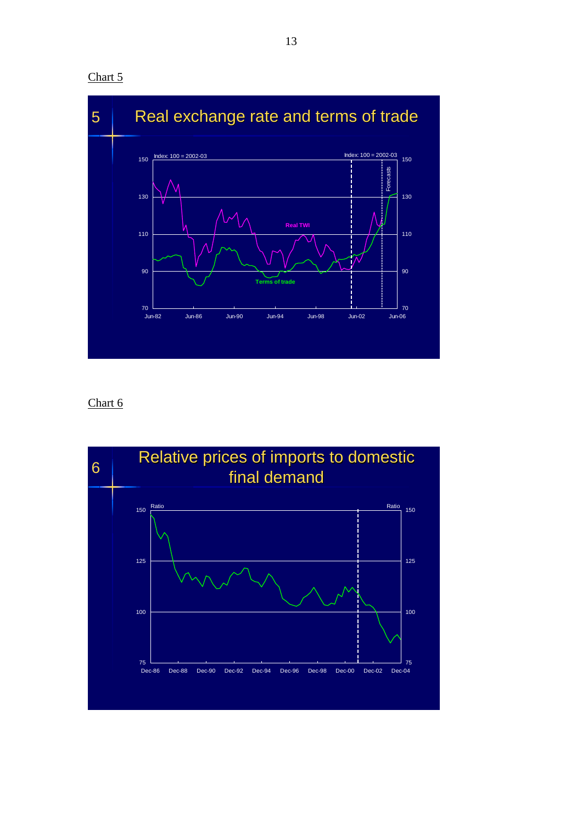



Chart 6